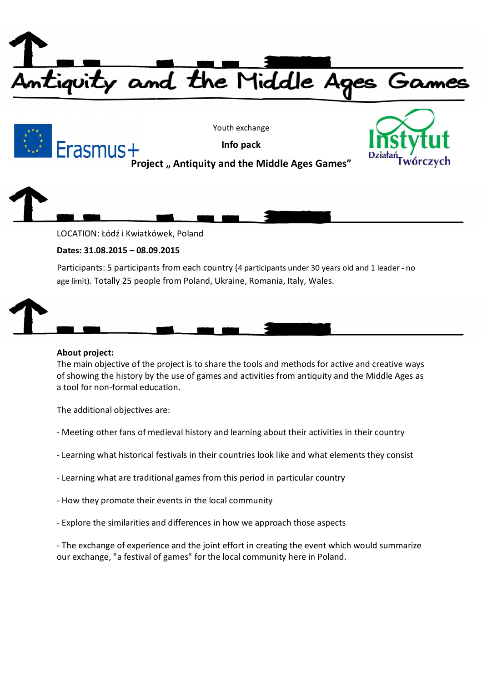



Youth exchange

**Info pack**



**Project " Antiquity and the Middle Ages Games"**



LOCATION: Łódź i Kwiatkówek, Poland

# **Dates: 31.08.2015 – 08.09.2015**

Participants: 5 participants from each country (4 participants under 30 years old and 1 leader - no age limit). Totally 25 people from Poland, Ukraine, Romania, Italy, Wales.

## **About project:**

The main objective of the project is to share the tools and methods for active and creative ways of showing the history by the use of games and activities from antiquity and the Middle Ages as a tool for non-formal education.

The additional objectives are:

- Meeting other fans of medieval history and learning about their activities in their country
- Learning what historical festivals in their countries look like and what elements they consist
- Learning what are traditional games from this period in particular country
- How they promote their events in the local community
- Explore the similarities and differences in how we approach those aspects

- The exchange of experience and the joint effort in creating the event which would summarize our exchange, "a festival of games" for the local community here in Poland.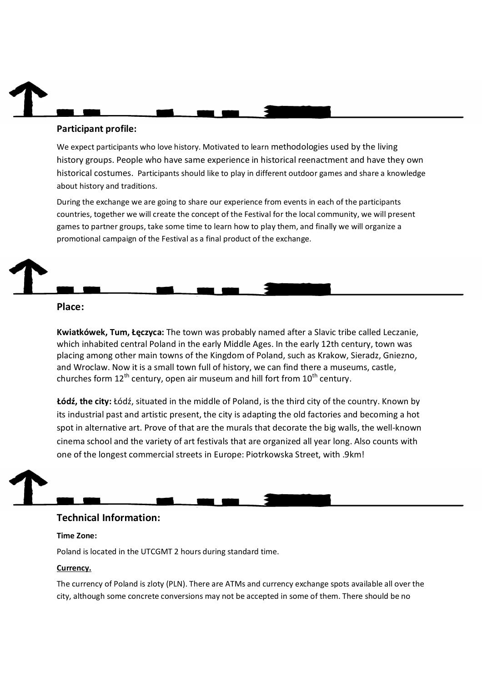# **Participant profile:**

We expect participants who love history. Motivated to learn methodologies used by the living history groups. People who have same experience in historical reenactment and have they own historical costumes. Participants should like to play in different outdoor games and share a knowledge about history and traditions.

During the exchange we are going to share our experience from events in each of the participants countries, together we will create the concept of the Festival for the local community, we will present games to partner groups, take some time to learn how to play them, and finally we will organize a promotional campaign of the Festival as a final product of the exchange.

### **Place:**

**Kwiatkówek, Tum, Łęczyca:** The town was probably named after a Slavic tribe called Leczanie, which inhabited central Poland in the early Middle Ages. In the early 12th century, town was placing among other main towns of the Kingdom of Poland, such as Krakow, Sieradz, Gniezno, and Wroclaw. Now it is a small town full of history, we can find there a museums, castle, churches form  $12<sup>th</sup>$  century, open air museum and hill fort from  $10<sup>th</sup>$  century.

**Łódź, the city:** Łódź, situated in the middle of Poland, is the third city of the country. Known by its industrial past and artistic present, the city is adapting the old factories and becoming a hot spot in alternative art. Prove of that are the murals that decorate the big walls, the well-known cinema school and the variety of art festivals that are organized all year long. Also counts with one of the longest commercial streets in Europe: Piotrkowska Street, with .9km!

## **Technical Information:**

#### **Time Zone:**

Poland is located in the UTCGMT 2 hours during standard time.

#### **Currency.**

The currency of Poland is zloty (PLN). There are ATMs and currency exchange spots available all over the city, although some concrete conversions may not be accepted in some of them. There should be no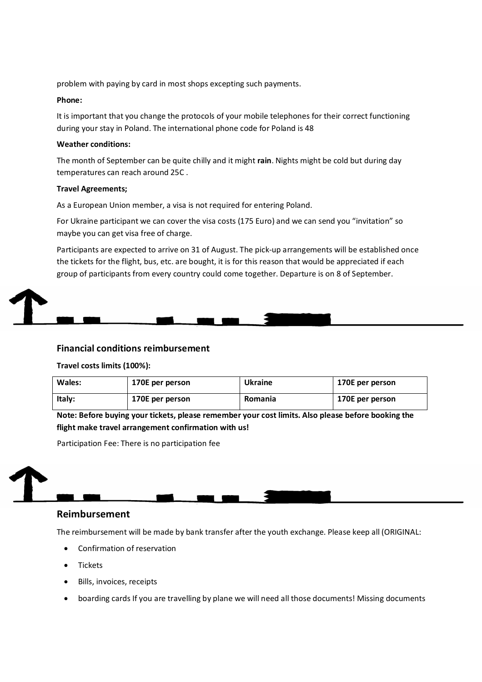problem with paying by card in most shops excepting such payments.

#### **Phone:**

It is important that you change the protocols of your mobile telephones for their correct functioning during your stay in Poland. The international phone code for Poland is 48

#### **Weather conditions:**

The month of September can be quite chilly and it might **rain**. Nights might be cold but during day temperatures can reach around 25C .

#### **Travel Agreements;**

As a European Union member, a visa is not required for entering Poland.

For Ukraine participant we can cover the visa costs (175 Euro) and we can send you "invitation" so maybe you can get visa free of charge.

Participants are expected to arrive on 31 of August. The pick-up arrangements will be established once the tickets for the flight, bus, etc. are bought, it is for this reason that would be appreciated if each group of participants from every country could come together. Departure is on 8 of September.



#### **Financial conditions reimbursement**

#### **Travel costs limits (100%):**

| Wales: | 170E per person | Ukraine        | 170E per person |
|--------|-----------------|----------------|-----------------|
| ltaly: | 170E per person | <b>Romania</b> | 170E per person |

**Note: Before buying your tickets, please remember your cost limits. Also please before booking the flight make travel arrangement confirmation with us!**

Participation Fee: There is no participation fee

# **Reimbursement**

The reimbursement will be made by bank transfer after the youth exchange. Please keep all (ORIGINAL:

- Confirmation of reservation
- **•** Tickets
- Bills, invoices, receipts
- boarding cards If you are travelling by plane we will need all those documents! Missing documents